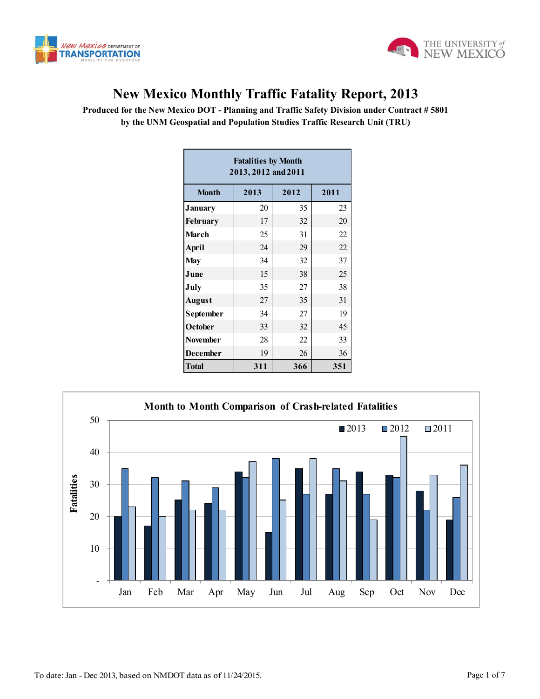



## **New Mexico Monthly Traffic Fatality Report, 2013**

**Produced for the New Mexico DOT - Planning and Traffic Safety Division under Contract # 5801 by the UNM Geospatial and Population Studies Traffic Research Unit (TRU)**

|                                                       | <b>Fatalities by Month</b><br>2013, 2012 and 2011 |      |      |                     |             |             |
|-------------------------------------------------------|---------------------------------------------------|------|------|---------------------|-------------|-------------|
| <b>Month</b>                                          | 2013                                              | 2012 | 2011 |                     |             |             |
| <b>January</b>                                        | 20                                                | 35   | 23   |                     |             |             |
| February                                              | 17                                                | 32   | 20   |                     |             |             |
| March                                                 | 25                                                | 31   | 22   |                     |             |             |
| <b>April</b>                                          | 24                                                | 29   | 22   |                     |             |             |
| <b>May</b>                                            | 34                                                | 32   | 37   |                     |             |             |
| June                                                  | 15                                                | 38   | 25   |                     |             |             |
| July                                                  | 35                                                | 27   | 38   |                     |             |             |
| <b>August</b>                                         | 27                                                | 35   | 31   |                     |             |             |
| September                                             | 34                                                | 27   | 19   |                     |             |             |
| October                                               | 33                                                | 32   | 45   |                     |             |             |
| <b>November</b>                                       | 28                                                | 22   | 33   |                     |             |             |
| <b>December</b>                                       | 19                                                | 26   | 36   |                     |             |             |
| <b>Total</b>                                          | 311                                               | 366  | 351  |                     |             |             |
| <b>D</b> Month Comparison of Crash-related Fatalities |                                                   |      |      |                     |             |             |
|                                                       |                                                   |      |      | $\blacksquare$ 2013 | $\Box$ 2012 | $\Box$ 2011 |

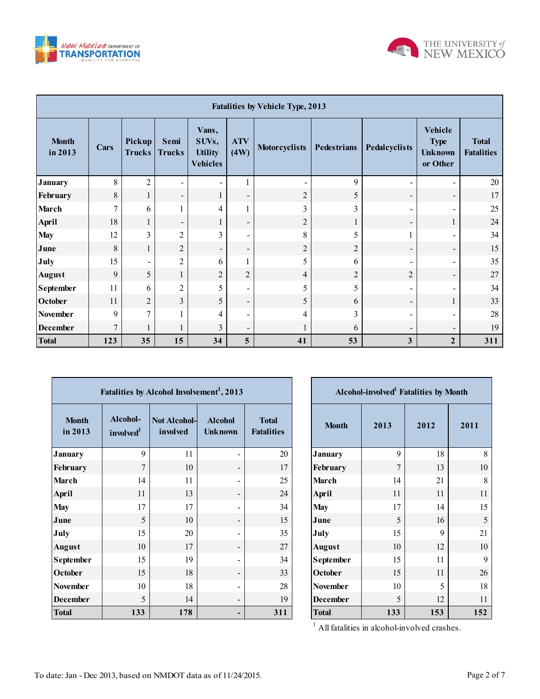



| <b>Fatalities by Vehicle Type, 2013</b> |                |                              |                          |                                                     |                          |                                                             |                |                                                      |                                   |     |
|-----------------------------------------|----------------|------------------------------|--------------------------|-----------------------------------------------------|--------------------------|-------------------------------------------------------------|----------------|------------------------------------------------------|-----------------------------------|-----|
| <b>Month</b><br>in 2013                 | Cars           | Pickup<br><b>Trucks</b>      | Semi<br><b>Trucks</b>    | Vans,<br>SUVs,<br><b>Utility</b><br><b>Vehicles</b> | <b>ATV</b><br>(4W)       | <b>Motorcyclists</b><br><b>Pedestrians</b><br>Pedalcyclists |                | Vehicle<br><b>Type</b><br><b>Unknown</b><br>or Other | <b>Total</b><br><b>Fatalities</b> |     |
| <b>January</b>                          | 8              | $\overline{2}$               | $\overline{\phantom{0}}$ |                                                     |                          |                                                             | 9              | $\blacksquare$                                       | $\blacksquare$                    | 20  |
| February                                | 8              | 1                            | $\overline{\phantom{a}}$ | 1                                                   | $\overline{\phantom{a}}$ | $\overline{2}$                                              | 5              | $\overline{\phantom{a}}$                             | $\overline{\phantom{a}}$          | 17  |
| <b>March</b>                            | $\tau$         | 6                            |                          | $\overline{4}$                                      | 1                        | 3                                                           | 3              | $\overline{\phantom{a}}$                             |                                   | 25  |
| April                                   | 18             | 1                            | $\overline{\phantom{a}}$ | 1                                                   | $\overline{\phantom{a}}$ | $\overline{c}$                                              | 1              | $\overline{\phantom{a}}$                             | $\mathbf{1}$                      | 24  |
| <b>May</b>                              | 12             | 3                            | $\overline{2}$           | 3                                                   | -                        | 8                                                           | 5              | 1                                                    | -                                 | 34  |
| June                                    | 8              | 1                            | $\overline{c}$           | $\overline{\phantom{a}}$                            | $\blacksquare$           | $\overline{2}$                                              | $\overline{2}$ | $\overline{\phantom{a}}$                             | -                                 | 15  |
| July                                    | 15             | $\qquad \qquad \blacksquare$ | $\overline{2}$           | 6                                                   | 1                        | 5                                                           | 6              | $\overline{\phantom{a}}$                             | $\blacksquare$                    | 35  |
| <b>August</b>                           | 9              | 5                            | $\mathbf{1}$             | $\overline{2}$                                      | $\overline{c}$           | 4                                                           | $\overline{2}$ | $\boldsymbol{2}$                                     | -                                 | 27  |
| <b>September</b>                        | 11             | 6                            | $\overline{2}$           | 5                                                   | -                        | 5                                                           | 5              | $\overline{\phantom{a}}$                             | -                                 | 34  |
| October                                 | 11             | $\overline{2}$               | 3                        | 5                                                   | $\overline{\phantom{a}}$ | 5                                                           | 6              | $\overline{\phantom{a}}$                             |                                   | 33  |
| November                                | 9              | $\overline{7}$               |                          | 4                                                   | -                        | 4                                                           | 3              | $\overline{\phantom{a}}$                             | -                                 | 28  |
| <b>December</b>                         | $\overline{7}$ | 1                            | 1                        | 3                                                   | -                        | 1                                                           | 6              | $\overline{\phantom{a}}$                             | $\overline{\phantom{a}}$          | 19  |
| <b>Total</b>                            | 123            | 35                           | 15                       | 34                                                  | $\overline{\mathbf{5}}$  | 41                                                          | 53             | 3                                                    | $\overline{2}$                    | 311 |

|                         |                                   | Fatalities by Alcohol Involvement <sup>1</sup> , 2013 |                                  |                                   |                  | Alcohol-involved <sup>1</sup> Fatalities by Month |      |      |
|-------------------------|-----------------------------------|-------------------------------------------------------|----------------------------------|-----------------------------------|------------------|---------------------------------------------------|------|------|
| <b>Month</b><br>in 2013 | Alcohol-<br>involved <sup>1</sup> | <b>Not Alcohol-</b><br>involved                       | <b>Alcohol</b><br><b>Unknown</b> | <b>Total</b><br><b>Fatalities</b> | <b>Month</b>     | 2013                                              | 2012 | 2011 |
| <b>January</b>          | 9                                 | 11                                                    | $\overline{\phantom{a}}$         | 20                                | <b>January</b>   | 9                                                 | 18   | 8    |
| February                | $\overline{7}$                    | 10                                                    | $\overline{\phantom{a}}$         | 17                                | February         | $\tau$                                            | 13   | 10   |
| March                   | 14                                | 11                                                    | $\overline{\phantom{a}}$         | 25                                | <b>March</b>     | 14                                                | 21   | 8    |
| <b>April</b>            | 11                                | 13                                                    | $\overline{\phantom{a}}$         | 24                                | <b>April</b>     | 11                                                | 11   | 11   |
| <b>May</b>              | 17                                | 17                                                    | $\overline{\phantom{a}}$         | 34                                | <b>May</b>       | 17                                                | 14   | 15   |
| June                    | 5                                 | 10                                                    | $\overline{\phantom{a}}$         | 15                                | June             | 5                                                 | 16   | 5    |
| July                    | 15                                | 20                                                    | $\overline{\phantom{a}}$         | 35                                | July             | 15                                                | 9    | 21   |
| <b>August</b>           | 10                                | 17                                                    | $\overline{\phantom{a}}$         | 27                                | <b>August</b>    | 10                                                | 12   | 10   |
| <b>September</b>        | 15                                | 19                                                    | $\overline{\phantom{a}}$         | 34                                | <b>September</b> | 15                                                | 11   | 9    |
| October                 | 15                                | 18                                                    | $\overline{\phantom{a}}$         | 33                                | October          | 15                                                | 11   | 26   |
| <b>November</b>         | 10                                | 18                                                    | $\overline{\phantom{a}}$         | 28                                | <b>November</b>  | 10                                                | 5    | 18   |
| <b>December</b>         | 5                                 | 14                                                    | $\overline{\phantom{a}}$         | 19                                | <b>December</b>  | 5                                                 | 12   | 11   |
| <b>Total</b>            | 133                               | 178                                                   |                                  | 311                               | <b>Total</b>     | 133                                               | 153  | 152  |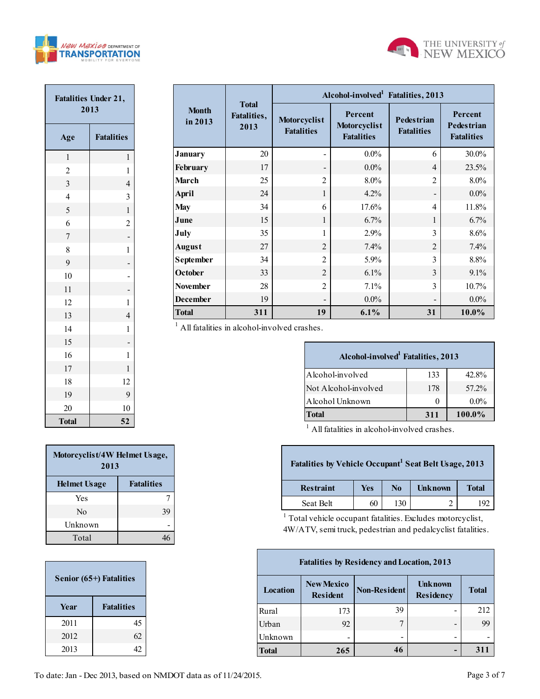



| <b>Fatalities Under 21,</b><br>2013 |                   |  |  |  |  |  |  |
|-------------------------------------|-------------------|--|--|--|--|--|--|
| Age                                 | <b>Fatalities</b> |  |  |  |  |  |  |
| $\mathbf{1}$                        | 1                 |  |  |  |  |  |  |
| $\overline{2}$                      | $\mathbf{1}$      |  |  |  |  |  |  |
| $\overline{\mathbf{3}}$             | $\overline{4}$    |  |  |  |  |  |  |
| $\overline{4}$                      | 3                 |  |  |  |  |  |  |
| 5                                   | $\mathbf{1}$      |  |  |  |  |  |  |
| 6                                   | $\overline{c}$    |  |  |  |  |  |  |
| $\overline{7}$                      |                   |  |  |  |  |  |  |
| 8                                   | $\mathbf{1}$      |  |  |  |  |  |  |
| 9                                   |                   |  |  |  |  |  |  |
| 10                                  | $\frac{1}{2}$     |  |  |  |  |  |  |
| 11                                  |                   |  |  |  |  |  |  |
| 12                                  | $\mathbf{1}$      |  |  |  |  |  |  |
| 13                                  | $\overline{4}$    |  |  |  |  |  |  |
| 14                                  | $\mathbf{1}$      |  |  |  |  |  |  |
| 15                                  |                   |  |  |  |  |  |  |
| 16                                  | $\mathbf{1}$      |  |  |  |  |  |  |
| 17                                  | $\mathbf{1}$      |  |  |  |  |  |  |
| 18                                  | 12                |  |  |  |  |  |  |
| 19                                  | 9                 |  |  |  |  |  |  |
| 20                                  | 10                |  |  |  |  |  |  |
| <b>Total</b>                        | 52                |  |  |  |  |  |  |

|                         |                                     | Alcohol-involved Fatalities, 2013 |                                              |                                        |                                                   |  |  |  |  |  |
|-------------------------|-------------------------------------|-----------------------------------|----------------------------------------------|----------------------------------------|---------------------------------------------------|--|--|--|--|--|
| <b>Month</b><br>in 2013 | <b>Total</b><br>Fatalities,<br>2013 | Motorcyclist<br><b>Fatalities</b> | Percent<br>Motorcyclist<br><b>Fatalities</b> | <b>Pedestrian</b><br><b>Fatalities</b> | Percent<br><b>Pedestrian</b><br><b>Fatalities</b> |  |  |  |  |  |
| <b>January</b>          | 20                                  |                                   | $0.0\%$                                      | 6                                      | 30.0%                                             |  |  |  |  |  |
| February                | 17                                  |                                   | $0.0\%$                                      | $\overline{4}$                         | 23.5%                                             |  |  |  |  |  |
| <b>March</b>            | 25                                  | $\overline{c}$                    | 8.0%                                         | $\overline{2}$                         | $8.0\%$                                           |  |  |  |  |  |
| <b>April</b>            | 24                                  | 1                                 | 4.2%                                         |                                        | $0.0\%$                                           |  |  |  |  |  |
| <b>May</b>              | 34                                  | 6                                 | 17.6%                                        | $\overline{4}$                         | 11.8%                                             |  |  |  |  |  |
| June                    | 15                                  | 1                                 | 6.7%                                         | $\mathbf{1}$                           | 6.7%                                              |  |  |  |  |  |
| July                    | 35                                  | 1                                 | 2.9%                                         | 3                                      | 8.6%                                              |  |  |  |  |  |
| <b>August</b>           | 27                                  | $\overline{2}$                    | 7.4%                                         | $\overline{2}$                         | 7.4%                                              |  |  |  |  |  |
| <b>September</b>        | 34                                  | $\overline{2}$                    | $5.9\%$                                      | 3                                      | 8.8%                                              |  |  |  |  |  |
| October                 | 33                                  | $\overline{2}$                    | $6.1\%$                                      | $\mathcal{E}$                          | $9.1\%$                                           |  |  |  |  |  |
| <b>November</b>         | 28                                  | $\mathfrak{D}$                    | 7.1%                                         | $\mathcal{E}$                          | 10.7%                                             |  |  |  |  |  |
| <b>December</b>         | 19                                  |                                   | $0.0\%$                                      |                                        | $0.0\%$                                           |  |  |  |  |  |
| <b>Total</b>            | 311                                 | 19                                | $6.1\%$                                      | 31                                     | 10.0%                                             |  |  |  |  |  |

| Alcohol-involved <sup>1</sup> Fatalities, 2013 |     |         |
|------------------------------------------------|-----|---------|
| Alcohol-involved                               | 133 | 42.8%   |
| Not Alcohol-involved                           | 178 | 57.2%   |
| Alcohol Unknown                                | 0   | $0.0\%$ |
| <b>Total</b>                                   | 311 | 100.0%  |

<sup>1</sup> All fatalities in alcohol-involved crashes.

| Fatalities by Vehicle Occupant <sup>1</sup> Seat Belt Usage, 2013 |     |                |                |              |
|-------------------------------------------------------------------|-----|----------------|----------------|--------------|
| <b>Restraint</b>                                                  | Yes | N <sub>0</sub> | <b>Unknown</b> | <b>Total</b> |
| Seat Belt                                                         | 60  | 130            |                | 192          |
|                                                                   |     |                |                |              |

<sup>1</sup> Total vehicle occupant fatalities. Excludes motorcyclist, 4W/ATV, semi truck, pedestrian and pedalcyclist fatalities.

| <b>Fatalities by Residency and Location, 2013</b> |                                      |              |                             |              |  |  |  |  |  |  |
|---------------------------------------------------|--------------------------------------|--------------|-----------------------------|--------------|--|--|--|--|--|--|
| Location                                          | <b>New Mexico</b><br><b>Resident</b> | Non-Resident | <b>Unknown</b><br>Residency | <b>Total</b> |  |  |  |  |  |  |
| Rural                                             | 173                                  | 39           |                             | 212          |  |  |  |  |  |  |
| Urban                                             | 92                                   |              | -                           | 99           |  |  |  |  |  |  |
| Unknown                                           | -                                    |              | -                           |              |  |  |  |  |  |  |
| <b>Total</b>                                      | 265                                  | 46           |                             | 311          |  |  |  |  |  |  |

| Motorcyclist/4W Helmet Usage,<br>2013 |                   |
|---------------------------------------|-------------------|
| <b>Helmet Usage</b>                   | <b>Fatalities</b> |
| Yes                                   |                   |
| $\rm No$                              | 39                |
| Unknown                               |                   |
| Total                                 |                   |

| Senior (65+) Fatalities |                   |  |  |  |  |  |  |
|-------------------------|-------------------|--|--|--|--|--|--|
| Year                    | <b>Fatalities</b> |  |  |  |  |  |  |
| 2011                    | 45                |  |  |  |  |  |  |
| 2012                    | 62                |  |  |  |  |  |  |
| 2013                    | 42                |  |  |  |  |  |  |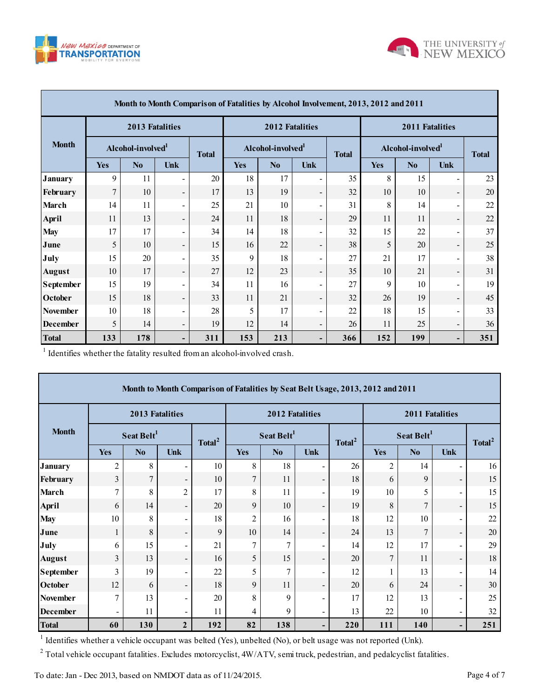



|                  | Month to Month Comparison of Fatalities by Alcohol Involvement, 2013, 2012 and 2011 |                 |                          |              |            |                               |                              |              |            |                               |                          |              |
|------------------|-------------------------------------------------------------------------------------|-----------------|--------------------------|--------------|------------|-------------------------------|------------------------------|--------------|------------|-------------------------------|--------------------------|--------------|
|                  |                                                                                     | 2013 Fatalities |                          |              |            | <b>2012 Fatalities</b>        |                              |              |            | 2011 Fatalities               |                          |              |
| <b>Month</b>     | Alcohol-involved <sup>1</sup>                                                       |                 |                          | <b>Total</b> |            | Alcohol-involved <sup>1</sup> |                              | <b>Total</b> |            | Alcohol-involved <sup>1</sup> |                          | <b>Total</b> |
|                  | <b>Yes</b>                                                                          | No              | <b>Unk</b>               |              | <b>Yes</b> | No                            | <b>Unk</b>                   |              | <b>Yes</b> | N <sub>0</sub>                | Unk                      |              |
| <b>January</b>   | 9                                                                                   | 11              | Ξ.                       | 20           | 18         | 17                            |                              | 35           | 8          | 15                            | $\overline{\phantom{a}}$ | 23           |
| February         | $\overline{7}$                                                                      | 10              | $\overline{\phantom{a}}$ | 17           | 13         | 19                            | $\qquad \qquad \blacksquare$ | 32           | 10         | 10                            | $\overline{\phantom{a}}$ | 20           |
| <b>March</b>     | 14                                                                                  | 11              | $\blacksquare$           | 25           | 21         | 10                            |                              | 31           | 8          | 14                            | $\blacksquare$           | 22           |
| <b>April</b>     | 11                                                                                  | 13              | $\blacksquare$           | 24           | 11         | 18                            | $\qquad \qquad \blacksquare$ | 29           | 11         | 11                            | $\overline{\phantom{a}}$ | 22           |
| <b>May</b>       | 17                                                                                  | 17              | Ξ.                       | 34           | 14         | 18                            |                              | 32           | 15         | 22                            | $\overline{\phantom{a}}$ | 37           |
| June             | 5                                                                                   | 10              | $\overline{\phantom{a}}$ | 15           | 16         | 22                            | $\qquad \qquad \blacksquare$ | 38           | 5          | 20                            | $\overline{\phantom{a}}$ | 25           |
| July             | 15                                                                                  | 20              | $\blacksquare$           | 35           | 9          | 18                            | $\overline{\phantom{0}}$     | 27           | 21         | 17                            | $\overline{\phantom{a}}$ | 38           |
| <b>August</b>    | 10                                                                                  | 17              | $\blacksquare$           | 27           | 12         | 23                            | $\overline{\phantom{0}}$     | 35           | 10         | 21                            | $\overline{\phantom{a}}$ | 31           |
| <b>September</b> | 15                                                                                  | 19              | $\blacksquare$           | 34           | 11         | 16                            | $\overline{\phantom{0}}$     | 27           | 9          | 10                            | $\overline{\phantom{a}}$ | 19           |
| <b>October</b>   | 15                                                                                  | 18              | $\overline{\phantom{a}}$ | 33           | 11         | 21                            | $\overline{\phantom{0}}$     | 32           | 26         | 19                            | $\overline{\phantom{a}}$ | 45           |
| <b>November</b>  | 10                                                                                  | 18              | $\blacksquare$           | 28           | 5          | 17                            | $\blacksquare$               | 22           | 18         | 15                            | $\overline{\phantom{a}}$ | 33           |
| <b>December</b>  | 5                                                                                   | 14              | $\overline{\phantom{a}}$ | 19           | 12         | 14                            | $\qquad \qquad \blacksquare$ | 26           | 11         | 25                            | $\overline{\phantom{a}}$ | 36           |
| <b>Total</b>     | 133                                                                                 | 178             | Ξ.                       | 311          | 153        | 213                           | -                            | 366          | 152        | 199                           | -                        | 351          |

1 Identifies whether the fatality resulted from an alcohol-involved crash.

|                                                                                                                           |                        |                 |                              |                    | Month to Month Comparison of Fatalities by Seat Belt Usage, 2013, 2012 and 2011 |                        |                          |                    |                        |                |                          |                    |
|---------------------------------------------------------------------------------------------------------------------------|------------------------|-----------------|------------------------------|--------------------|---------------------------------------------------------------------------------|------------------------|--------------------------|--------------------|------------------------|----------------|--------------------------|--------------------|
|                                                                                                                           |                        | 2013 Fatalities |                              |                    |                                                                                 | 2012 Fatalities        |                          |                    | 2011 Fatalities        |                |                          |                    |
| <b>Month</b>                                                                                                              | Seat Belt <sup>1</sup> |                 |                              | Total <sup>2</sup> |                                                                                 | Seat Belt <sup>1</sup> |                          | Total <sup>2</sup> | Seat Belt <sup>1</sup> |                |                          | Total <sup>2</sup> |
|                                                                                                                           | <b>Yes</b>             | N <sub>0</sub>  | <b>Unk</b>                   |                    | <b>Yes</b>                                                                      | N <sub>0</sub>         | <b>Unk</b>               |                    | <b>Yes</b>             | N <sub>0</sub> | Unk                      |                    |
| <b>January</b>                                                                                                            | $\overline{c}$         | 8               |                              | 10                 | 8                                                                               | 18                     | $\blacksquare$           | 26                 | 2                      | 14             | $\overline{\phantom{a}}$ | 16                 |
| February                                                                                                                  | $\overline{3}$         | 7               | $\overline{\phantom{0}}$     | 10                 | $\tau$                                                                          | 11                     | $\overline{\phantom{a}}$ | 18                 | 6                      | 9              | $\overline{\phantom{a}}$ | 15                 |
| March                                                                                                                     | 7                      | 8               | $\overline{2}$               | 17                 | 8                                                                               | 11                     | $\blacksquare$           | 19                 | 10                     | 5              | $\blacksquare$           | 15                 |
| <b>April</b>                                                                                                              | 6                      | 14              | $\overline{\phantom{a}}$     | 20                 | 9                                                                               | 10                     | $\overline{\phantom{a}}$ | 19                 | 8                      | 7              | $\blacksquare$           | 15                 |
| <b>May</b>                                                                                                                | 10                     | 8               | $\qquad \qquad \blacksquare$ | 18                 | $\overline{2}$                                                                  | 16                     | $\blacksquare$           | 18                 | 12                     | 10             | $\blacksquare$           | 22                 |
| June                                                                                                                      | 1                      | 8               | $\overline{\phantom{a}}$     | 9                  | 10                                                                              | 14                     | $\overline{\phantom{a}}$ | 24                 | 13                     | $\overline{7}$ | $\overline{\phantom{a}}$ | 20                 |
| July                                                                                                                      | 6                      | 15              | $\qquad \qquad \blacksquare$ | 21                 | $\tau$                                                                          | $\overline{7}$         | $\overline{\phantom{a}}$ | 14                 | 12                     | 17             | $\overline{\phantom{a}}$ | 29                 |
| <b>August</b>                                                                                                             | 3                      | 13              | $\overline{\phantom{0}}$     | 16                 | 5                                                                               | 15                     | $\overline{\phantom{a}}$ | 20                 | 7                      | 11             | $\overline{\phantom{a}}$ | 18                 |
| <b>September</b>                                                                                                          | 3                      | 19              | $\blacksquare$               | 22                 | 5                                                                               | $\overline{7}$         | $\blacksquare$           | 12                 |                        | 13             | $\blacksquare$           | 14                 |
| <b>October</b>                                                                                                            | 12                     | 6               | $\qquad \qquad \blacksquare$ | 18                 | 9                                                                               | 11                     | $\overline{\phantom{a}}$ | 20                 | 6                      | 24             | $\overline{\phantom{a}}$ | 30                 |
| <b>November</b>                                                                                                           | 7                      | 13              | $\qquad \qquad \blacksquare$ | 20                 | 8                                                                               | 9                      | $\blacksquare$           | 17                 | 12                     | 13             | $\blacksquare$           | 25                 |
| <b>December</b>                                                                                                           |                        | 11              | $\overline{\phantom{0}}$     | 11                 | 4                                                                               | 9                      | $\overline{\phantom{a}}$ | 13                 | 22                     | 10             | $\blacksquare$           | 32                 |
| <b>Total</b>                                                                                                              | 60                     | 130             | $\overline{2}$               | 192                | 82                                                                              | 138                    | $\overline{\phantom{a}}$ | 220                | 111                    | 140            | ۰.                       | 251                |
| <sup>1</sup> Identifies whether a vehicle occupant was belted (Yes), unbelted (No), or belt usage was not reported (Unk). |                        |                 |                              |                    |                                                                                 |                        |                          |                    |                        |                |                          |                    |

<sup>2</sup> Total vehicle occupant fatalities. Excludes motorcyclist,  $4W/ATV$ , semi truck, pedestrian, and pedalcyclist fatalities.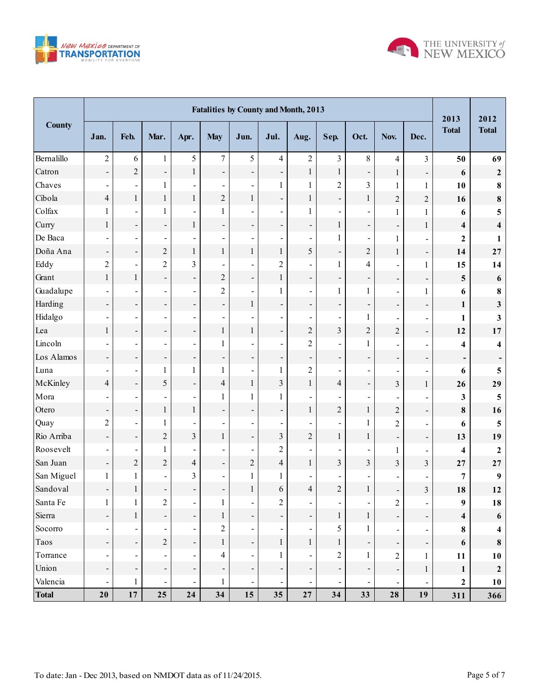



|               | <b>Fatalities by County and Month, 2013</b> |                          |                          |                              |                          |                          |                              |                          |                              |                          |                          | 2013                         | 2012                     |                         |
|---------------|---------------------------------------------|--------------------------|--------------------------|------------------------------|--------------------------|--------------------------|------------------------------|--------------------------|------------------------------|--------------------------|--------------------------|------------------------------|--------------------------|-------------------------|
| <b>County</b> | Jan.                                        | Feb.                     | Mar.                     | Apr.                         | <b>May</b>               | Jun.                     | Jul.                         | Aug.                     | Sep.                         | Oct.                     | Nov.                     | Dec.                         | <b>Total</b>             | <b>Total</b>            |
| Bernalillo    | $\overline{2}$                              | 6                        | $\mathbf{1}$             | 5                            | $\overline{7}$           | 5                        | $\overline{4}$               | $\overline{2}$           | $\overline{3}$               | 8                        | $\overline{4}$           | 3                            | 50                       | 69                      |
| Catron        | $\overline{\phantom{0}}$                    | $\sqrt{2}$               | $\overline{\phantom{0}}$ | $\mathbf{1}$                 | ÷,                       | ÷,                       | $\qquad \qquad \blacksquare$ | $\,1$                    | $\,1$                        | $\overline{\phantom{0}}$ | $\mathbf{1}$             | $\qquad \qquad \blacksquare$ | 6                        | $\boldsymbol{2}$        |
| Chaves        | $\blacksquare$                              | $\blacksquare$           | $\mathbf{1}$             | $\overline{a}$               | $\overline{\phantom{a}}$ | $\blacksquare$           | $\mathbf{1}$                 | $\mathbf{1}$             | $\overline{c}$               | $\overline{3}$           | $\mathbf{1}$             | 1                            | 10                       | $\bf 8$                 |
| Cibola        | $\overline{4}$                              | $\mathbf{1}$             | $\mathbf{1}$             | $\mathbf{1}$                 | $\overline{c}$           | $\,1$                    | $\frac{1}{2}$                | $\mathbf{1}$             | $\overline{\phantom{a}}$     | $\mathbf{1}$             | $\overline{c}$           | $\overline{c}$               | 16                       | $\bf 8$                 |
| Colfax        | $\mathbf{1}$                                | $\blacksquare$           | $\mathbf{1}$             | $\overline{a}$               | $\mathbf{1}$             | $\blacksquare$           | $\overline{\phantom{a}}$     | $\mathbf{1}$             | $\frac{1}{2}$                |                          | $\mathbf{1}$             | $\mathbf{1}$                 | 6                        | 5                       |
| Curry         | $\mathbf{1}$                                | ÷                        | -                        | $\mathbf{1}$                 | ÷,                       | ÷,                       | ÷,                           | $\overline{\phantom{a}}$ | $\,1$                        | $\overline{\phantom{0}}$ | $\overline{\phantom{0}}$ | $\mathbf{1}$                 | $\overline{\mathbf{4}}$  | $\overline{\mathbf{4}}$ |
| De Baca       | $\blacksquare$                              | $\overline{\phantom{a}}$ | $\overline{\phantom{0}}$ | $\overline{a}$               | $\overline{\phantom{a}}$ | $\blacksquare$           | $\overline{\phantom{a}}$     | $\blacksquare$           | $\mathbf{1}$                 | $\overline{a}$           | $\mathbf{1}$             | $\overline{\phantom{0}}$     | $\mathbf{2}$             | 1                       |
| Doña Ana      | $\overline{\phantom{a}}$                    | ÷,                       | $\overline{c}$           | $\mathbf{1}$                 | $\,1$                    | $\,1$                    | $\mathbf{1}$                 | 5                        | $\overline{\phantom{a}}$     | $\overline{c}$           | $\mathbf{1}$             | -                            | 14                       | 27                      |
| Eddy          | $\overline{2}$                              | $\overline{\phantom{a}}$ | $\overline{2}$           | $\overline{3}$               | $\blacksquare$           | L,                       | $\overline{2}$               | $\overline{a}$           | $\mathbf{1}$                 | $\overline{4}$           | $\blacksquare$           | $\mathbf{1}$                 | 15                       | 14                      |
| Grant         | $\mathbf 1$                                 | $\,1$                    | -                        | $\overline{\phantom{0}}$     | $\overline{c}$           | $\overline{\phantom{a}}$ | $\mathbf{1}$                 | $\overline{\phantom{a}}$ | -                            | $\overline{\phantom{0}}$ | $\overline{\phantom{a}}$ | $\overline{\phantom{a}}$     | 5                        | $\boldsymbol{6}$        |
| Guadalupe     | $\blacksquare$                              | $\overline{\phantom{a}}$ | $\overline{\phantom{0}}$ | $\overline{a}$               | $\overline{c}$           | $\blacksquare$           | $\mathbf{1}$                 | $\overline{\phantom{a}}$ | $\mathbf{1}$                 | $\mathbf{1}$             | $\overline{\phantom{a}}$ | $\mathbf{1}$                 | 6                        | $\bf 8$                 |
| Harding       | $\overline{\phantom{a}}$                    | ÷,                       | -                        | $\overline{\phantom{0}}$     | $\overline{\phantom{a}}$ | $\,1$                    | $\overline{a}$               | $\overline{\phantom{a}}$ | -                            | -                        | $\overline{\phantom{a}}$ | -                            | $\mathbf{1}$             | 3                       |
| Hidalgo       | $\overline{\phantom{a}}$                    | $\overline{\phantom{a}}$ | L,                       | $\overline{a}$               | $\overline{\phantom{a}}$ | $\blacksquare$           | $\blacksquare$               | $\overline{\phantom{a}}$ | $\overline{\phantom{a}}$     | $\mathbf{1}$             | $\overline{\phantom{a}}$ | $\overline{\phantom{0}}$     | 1                        | 3                       |
| Lea           | $\mathbf{1}$                                | ÷,                       | -                        | $\overline{\phantom{0}}$     | $\mathbf 1$              | $\,1$                    | $\frac{1}{2}$                | $\overline{c}$           | $\overline{\mathbf{3}}$      | $\overline{c}$           | $\overline{c}$           | -                            | 12                       | 17                      |
| Lincoln       | $\blacksquare$                              | $\overline{\phantom{a}}$ | L,                       | $\overline{a}$               | $\mathbf{1}$             | $\blacksquare$           | $\overline{\phantom{a}}$     | $\overline{2}$           | $\blacksquare$               | $\mathbf{1}$             | $\blacksquare$           | $\overline{\phantom{0}}$     | $\overline{\mathbf{4}}$  | 4                       |
| Los Alamos    | $\overline{\phantom{a}}$                    | ÷,                       | -                        | $\overline{\phantom{a}}$     | $\overline{\phantom{0}}$ | $\overline{\phantom{a}}$ | $\qquad \qquad \blacksquare$ | -                        | $\overline{\phantom{0}}$     | $\overline{\phantom{0}}$ | $\overline{\phantom{a}}$ | ۳,                           | $\overline{\phantom{a}}$ |                         |
| Luna          | $\blacksquare$                              | $\overline{\phantom{a}}$ | $\mathbf{1}$             | $\mathbf{1}$                 | $\mathbf{1}$             | $\blacksquare$           | $\mathbf{1}$                 | $\overline{c}$           | $\overline{\phantom{a}}$     | L,                       | $\overline{\phantom{a}}$ | -                            | 6                        | 5                       |
| McKinley      | $\overline{4}$                              | $\overline{a}$           | 5                        | $\overline{a}$               | $\overline{4}$           | $\,1\,$                  | $\overline{3}$               | $\mathbf{1}$             | $\overline{\mathbf{4}}$      | $\blacksquare$           | $\overline{3}$           | $\mathbf{1}$                 | 26                       | 29                      |
| Mora          | $\blacksquare$                              | $\blacksquare$           | $\overline{\phantom{0}}$ | $\overline{a}$               | $\mathbf{1}$             | $\mathbf{1}$             | $\mathbf{1}$                 | $\blacksquare$           | $\overline{\phantom{a}}$     | $\blacksquare$           | $\blacksquare$           | $\overline{\phantom{0}}$     | 3                        | 5                       |
| Otero         | $\overline{\phantom{0}}$                    | $\overline{\phantom{0}}$ | $\,1$                    | $\mathbf{1}$                 | $\overline{\phantom{a}}$ | $\overline{\phantom{a}}$ | $\overline{a}$               | $\mathbf{1}$             | $\overline{c}$               | $\mathbf{1}$             | $\overline{c}$           | -                            | $\bf{8}$                 | 16                      |
| Quay          | $\overline{2}$                              | $\overline{\phantom{a}}$ | $\mathbf{1}$             | L,                           | $\overline{\phantom{a}}$ | $\overline{\phantom{a}}$ | $\blacksquare$               | $\blacksquare$           | $\overline{\phantom{a}}$     | $\mathbf{1}$             | $\overline{c}$           | $\overline{\phantom{0}}$     | 6                        | 5                       |
| Rio Arriba    | $\overline{\phantom{a}}$                    | $\overline{\phantom{0}}$ | $\overline{c}$           | $\overline{3}$               | $\mathbf 1$              | $\overline{\phantom{a}}$ | $\overline{3}$               | $\sqrt{2}$               | $\,1$                        | $\mathbf{1}$             | $\overline{a}$           | Ξ,                           | 13                       | 19                      |
| Roosevelt     | $\blacksquare$                              | $\blacksquare$           | $\mathbf{1}$             | $\overline{a}$               | $\blacksquare$           | $\blacksquare$           | $\overline{2}$               | $\blacksquare$           | $\overline{\phantom{a}}$     | L,                       | $\mathbf{1}$             | $\overline{\phantom{0}}$     | 4                        | $\boldsymbol{2}$        |
| San Juan      | $\overline{\phantom{a}}$                    | $\sqrt{2}$               | $\overline{c}$           | $\overline{4}$               | $\overline{\phantom{0}}$ | $\overline{c}$           | $\overline{4}$               | $\mathbf{1}$             | $\overline{\mathbf{3}}$      | $\overline{3}$           | 3                        | $\overline{\mathbf{3}}$      | 27                       | 27                      |
| San Miguel    | $\mathbf{1}$                                | $\mathbf{1}$             | $\overline{\phantom{0}}$ | $\mathfrak{Z}$               | $\overline{\phantom{a}}$ | $\mathbf{1}$             | $\mathbf{1}$                 | $\overline{\phantom{a}}$ | $\overline{\phantom{a}}$     |                          |                          | -                            | 7                        | $\boldsymbol{9}$        |
| Sandoval      | $\overline{\phantom{a}}$                    | $\mathbf{1}$             | $\overline{\phantom{0}}$ | $\overline{\phantom{a}}$     | $\overline{\phantom{a}}$ | $\mathbf{1}$             | 6                            | $\overline{4}$           | $\overline{c}$               | $\mathbf{1}$             | $\overline{\phantom{a}}$ | 3                            | 18                       | 12                      |
| Santa Fe      | 1                                           | 1                        | $\mathfrak{2}$           | $\qquad \qquad \blacksquare$ | 1                        | $\blacksquare$           | $\overline{2}$               | $\blacksquare$           | $\qquad \qquad \blacksquare$ |                          | $\overline{2}$           | $\blacksquare$               | $\boldsymbol{9}$         | 18                      |
| Sierra        | $\qquad \qquad \blacksquare$                | $\mathbf{1}$             | $\overline{\phantom{0}}$ | $\qquad \qquad \blacksquare$ | $\mathbf 1$              | $\overline{\phantom{a}}$ | $\blacksquare$               | $\overline{\phantom{a}}$ | $\,1$                        | $\mathbf{1}$             |                          | $\overline{\phantom{0}}$     | $\overline{\mathbf{4}}$  | 6                       |
| Socorro       | $\qquad \qquad \blacksquare$                | $\blacksquare$           | $\overline{\phantom{a}}$ | $\blacksquare$               | $\mathbf 2$              | $\blacksquare$           | $\qquad \qquad \blacksquare$ | $\blacksquare$           | 5                            | $\mathbf{1}$             | $\blacksquare$           | $\blacksquare$               | $\bf{8}$                 | 4                       |
| Taos          | $\overline{\phantom{0}}$                    | $\blacksquare$           | $\sqrt{2}$               | $\overline{\phantom{a}}$     | $\mathbf{1}$             | $\overline{\phantom{a}}$ | $\mathbf{1}$                 | $\mathbf{1}$             | $\mathbf{1}$                 | $\overline{\phantom{a}}$ | $\overline{\phantom{a}}$ | Ť,                           | 6                        | $\bf{8}$                |
| Torrance      | $\overline{a}$                              | $\blacksquare$           |                          | $\blacksquare$               | 4                        | $\blacksquare$           | 1                            | $\blacksquare$           | $\overline{c}$               | $\mathbf{1}$             | $\overline{2}$           | $\mathbf{1}$                 | 11                       | 10                      |
| Union         |                                             | $\overline{\phantom{a}}$ | $\overline{\phantom{0}}$ | $\qquad \qquad \blacksquare$ | $\overline{\phantom{a}}$ | $\overline{\phantom{a}}$ | $\qquad \qquad \blacksquare$ | $\overline{\phantom{a}}$ | $\overline{\phantom{0}}$     |                          | $\overline{\phantom{a}}$ | $\mathbf{1}$                 | $\mathbf{1}$             | $\boldsymbol{2}$        |
| Valencia      | $\qquad \qquad \blacksquare$                | $\mathbf{1}$             | $\blacksquare$           | $\qquad \qquad \blacksquare$ | 1                        | $\blacksquare$           | $\qquad \qquad \blacksquare$ | $\blacksquare$           | $\overline{\phantom{a}}$     | $\blacksquare$           | $\blacksquare$           | $\blacksquare$               | $\boldsymbol{2}$         | 10                      |
| <b>Total</b>  | 20                                          | $17\,$                   | 25                       | 24                           | 34                       | 15                       | 35                           | 27                       | 34                           | 33                       | 28                       | 19                           | 311                      | 366                     |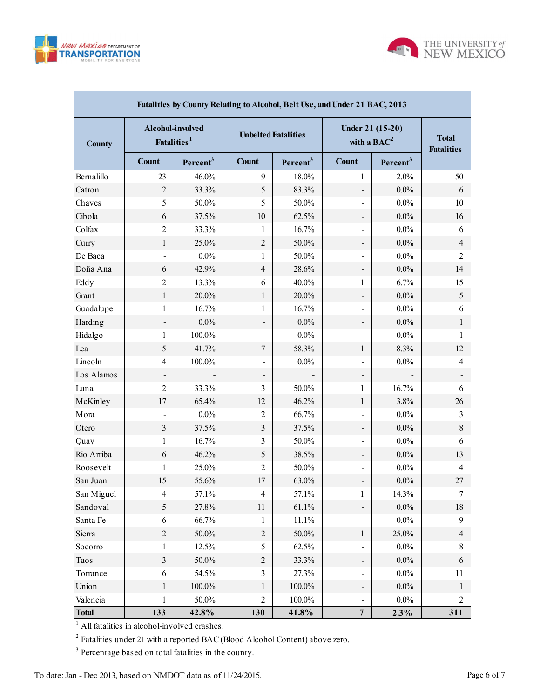



| Fatalities by County Relating to Alcohol, Belt Use, and Under 21 BAC, 2013 |                                             |                      |                            |                      |                                   |                                   |                |  |  |  |  |  |
|----------------------------------------------------------------------------|---------------------------------------------|----------------------|----------------------------|----------------------|-----------------------------------|-----------------------------------|----------------|--|--|--|--|--|
| <b>County</b>                                                              | Alcohol-involved<br>Fatalities <sup>1</sup> |                      | <b>Unbelted Fatalities</b> |                      | Under 21 (15-20)<br>with a $BAC2$ | <b>Total</b><br><b>Fatalities</b> |                |  |  |  |  |  |
|                                                                            | <b>Count</b>                                | Percent <sup>3</sup> | Count                      | Percent <sup>3</sup> | <b>Count</b>                      | Percent <sup>3</sup>              |                |  |  |  |  |  |
| Bernalillo                                                                 | 23                                          | 46.0%                | 9                          | 18.0%                | 1                                 | 2.0%                              | 50             |  |  |  |  |  |
| Catron                                                                     | $\overline{2}$                              | 33.3%                | 5                          | 83.3%                | $\overline{\phantom{a}}$          | $0.0\%$                           | 6              |  |  |  |  |  |
| Chaves                                                                     | 5                                           | 50.0%                | 5                          | $50.0\%$             | $\overline{\phantom{a}}$          | $0.0\%$                           | 10             |  |  |  |  |  |
| Cibola                                                                     | 6                                           | 37.5%                | 10                         | 62.5%                |                                   | $0.0\%$                           | 16             |  |  |  |  |  |
| Colfax                                                                     | $\overline{2}$                              | 33.3%                | 1                          | 16.7%                | $\qquad \qquad \blacksquare$      | $0.0\%$                           | 6              |  |  |  |  |  |
| Curry                                                                      | $\mathbf{1}$                                | 25.0%                | $\overline{2}$             | 50.0%                |                                   | $0.0\%$                           | $\overline{4}$ |  |  |  |  |  |
| De Baca                                                                    |                                             | $0.0\%$              | 1                          | $50.0\%$             | $\overline{\phantom{a}}$          | $0.0\%$                           | 2              |  |  |  |  |  |
| Doña Ana                                                                   | 6                                           | 42.9%                | $\overline{4}$             | 28.6%                |                                   | $0.0\%$                           | 14             |  |  |  |  |  |
| Eddy                                                                       | $\overline{2}$                              | 13.3%                | 6                          | 40.0%                | 1                                 | 6.7%                              | 15             |  |  |  |  |  |
| Grant                                                                      | $\mathbf{1}$                                | 20.0%                | $\mathbf{1}$               | $20.0\%$             | $\overline{\phantom{a}}$          | $0.0\%$                           | 5              |  |  |  |  |  |
| Guadalupe                                                                  | 1                                           | 16.7%                | 1                          | 16.7%                | $\overline{\phantom{a}}$          | $0.0\%$                           | 6              |  |  |  |  |  |
| Harding                                                                    |                                             | $0.0\%$              |                            | $0.0\%$              |                                   | $0.0\%$                           | 1              |  |  |  |  |  |
| Hidalgo                                                                    | 1                                           | 100.0%               |                            | $0.0\%$              | $\overline{\phantom{a}}$          | $0.0\%$                           | 1              |  |  |  |  |  |
| Lea                                                                        | 5                                           | 41.7%                | $\tau$                     | 58.3%                | $\mathbf{1}$                      | 8.3%                              | 12             |  |  |  |  |  |
| Lincoln                                                                    | 4                                           | 100.0%               |                            | $0.0\%$              | $\overline{\phantom{a}}$          | $0.0\%$                           | 4              |  |  |  |  |  |
| Los Alamos                                                                 |                                             |                      |                            |                      |                                   |                                   |                |  |  |  |  |  |
| Luna                                                                       | $\overline{2}$                              | 33.3%                | 3                          | 50.0%                | 1                                 | 16.7%                             | 6              |  |  |  |  |  |
| McKinley                                                                   | 17                                          | 65.4%                | 12                         | 46.2%                | $\mathbf{1}$                      | 3.8%                              | 26             |  |  |  |  |  |
| Mora                                                                       | $\overline{\phantom{0}}$                    | $0.0\%$              | $\overline{c}$             | 66.7%                | $\blacksquare$                    | $0.0\%$                           | 3              |  |  |  |  |  |
| Otero                                                                      | $\mathfrak{Z}$                              | 37.5%                | 3                          | 37.5%                | $\overline{\phantom{a}}$          | $0.0\%$                           | 8              |  |  |  |  |  |
| Quay                                                                       | 1                                           | 16.7%                | 3                          | 50.0%                | $\overline{\phantom{a}}$          | $0.0\%$                           | 6              |  |  |  |  |  |
| Rio Arriba                                                                 | 6                                           | 46.2%                | 5                          | 38.5%                | $\overline{\phantom{a}}$          | $0.0\%$                           | 13             |  |  |  |  |  |
| Roosevelt                                                                  | 1                                           | 25.0%                | $\overline{2}$             | 50.0%                | $\overline{\phantom{a}}$          | $0.0\%$                           | 4              |  |  |  |  |  |
| San Juan                                                                   | 15                                          | 55.6%                | 17                         | 63.0%                | -                                 | $0.0\%$                           | 27             |  |  |  |  |  |
| San Miguel                                                                 | 4                                           | 57.1%                | 4                          | 57.1%                | 1                                 | 14.3%                             |                |  |  |  |  |  |
| Sandoval                                                                   | 5                                           | 27.8%                | 11                         | 61.1%                | $\qquad \qquad \blacksquare$      | $0.0\%$                           | 18             |  |  |  |  |  |
| Santa Fe                                                                   | 6                                           | 66.7%                | 1                          | 11.1%                | $\qquad \qquad \blacksquare$      | $0.0\%$                           | 9              |  |  |  |  |  |
| Sierra                                                                     | $\overline{c}$                              | $50.0\%$             | $\sqrt{2}$                 | 50.0%                | $\mathbf{1}$                      | 25.0%                             | $\overline{4}$ |  |  |  |  |  |
| Socorro                                                                    | 1                                           | 12.5%                | 5                          | 62.5%                | $\qquad \qquad \blacksquare$      | $0.0\%$                           | 8              |  |  |  |  |  |
| Taos                                                                       | $\overline{3}$                              | $50.0\%$             | $\sqrt{2}$                 | 33.3%                | $\qquad \qquad \blacksquare$      | $0.0\%$                           | 6              |  |  |  |  |  |
| Torrance                                                                   | 6                                           | 54.5%                | 3                          | 27.3%                | $\qquad \qquad \blacksquare$      | $0.0\%$                           | 11             |  |  |  |  |  |
| Union                                                                      | $\mathbf{1}$                                | $100.0\%$            | $\mathbf{1}$               | $100.0\%$            | $\overline{\phantom{a}}$          | $0.0\%$                           | $\mathbf{1}$   |  |  |  |  |  |
| Valencia                                                                   | 1                                           | 50.0%                | $\boldsymbol{2}$           | 100.0%               | $\overline{\phantom{a}}$          | $0.0\%$                           | 2              |  |  |  |  |  |
| <b>Total</b>                                                               | 133                                         | 42.8%                | 130                        | 41.8%                | $\overline{7}$                    | 2.3%                              | 311            |  |  |  |  |  |

 $2^2$  Fatalities under 21 with a reported BAC (Blood Alcohol Content) above zero.

<sup>3</sup> Percentage based on total fatalities in the county.